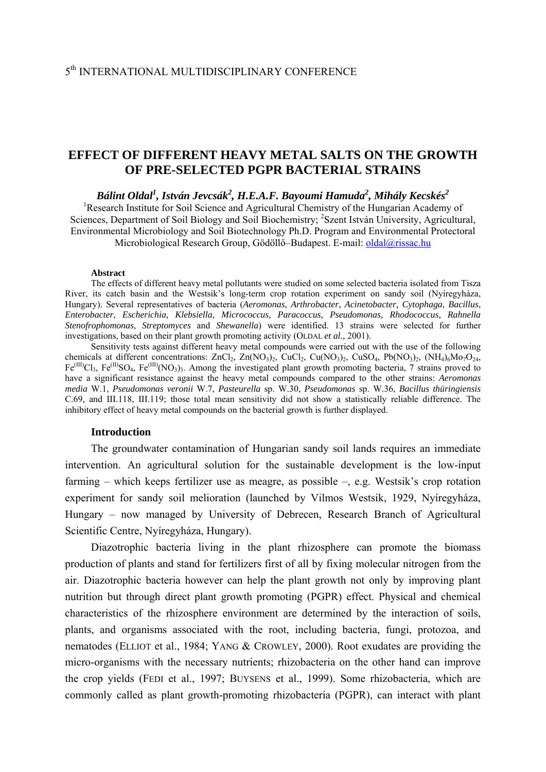# **EFFECT OF DIFFERENT HEAVY METAL SALTS ON THE GROWTH OF PRE-SELECTED PGPR BACTERIAL STRAINS**

*Bálint Oldal1 , István Jevcsák<sup>2</sup> , H.E.A.F. Bayoumi Hamuda2 , Mihály Kecskés<sup>2</sup>*

<sup>1</sup>Research Institute for Soil Science and Agricultural Chemistry of the Hungarian Academy of Sciences, Department of Soil Biology and Soil Biochemistry; <sup>2</sup>Szent István University, Agricultural, Environmental Microbiology and Soil Biotechnology Ph.D. Program and Environmental Protectoral Microbiological Research Group, Gödöllő–Budapest. E-mail: [oldal@rissac.hu](mailto:oldal@rissac.hu)

#### **Abstract**

The effects of different heavy metal pollutants were studied on some selected bacteria isolated from Tisza River, its catch basin and the Westsik's long-term crop rotation experiment on sandy soil (Nyíregyháza, Hungary). Several representatives of bacteria (*Aeromonas*, *Arthrobacter*, *Acinetobacter, Cytophaga, Bacillus*, *Enterobacter*, *Escherichia, Klebsiella, Micrococcus, Paracoccus, Pseudomonas, Rhodococcus, Rahnella Stenofrophomonas*, *Streptomyces* and *Shewanella*) were identified. 13 strains were selected for further investigations, based on their plant growth promoting activity (OLDAL *et al.,* 2001).

Sensitivity tests against different heavy metal compounds were carried out with the use of the following chemicals at different concentrations:  $ZnCl_2$ ,  $Zn(NO_3)$ ,  $CuCl_2$ ,  $Cu(NO_3)$ ,  $CuSO_4$ ,  $Pb(NO_3)$ ,  $(NH_4)$ <sub>6</sub>Mo<sub>7</sub>O<sub>24</sub>,  $Fe^{(III)}Cl_3$ ,  $Fe^{(III)}SO_4$ ,  $Fe^{(III)}(NO_3)$ <sub>3</sub>. Among the investigated plant growth promoting bacteria, 7 strains proved to have a significant resistance against the heavy metal compounds compared to the other strains: *Aeromonas media* W.1, *Pseudomonas veronii* W.7, *Pasteurella* sp. W.30, *Pseudomonas* sp. W.36, *Bacillus thüringiensis* C.69, and III.118, III.119; those total mean sensitivity did not show a statistically reliable difference. The inhibitory effect of heavy metal compounds on the bacterial growth is further displayed.

#### **Introduction**

The groundwater contamination of Hungarian sandy soil lands requires an immediate intervention. An agricultural solution for the sustainable development is the low-input farming – which keeps fertilizer use as meagre, as possible –, e.g. Westsik's crop rotation experiment for sandy soil melioration (launched by Vilmos Westsik, 1929, Nyíregyháza, Hungary – now managed by University of Debrecen, Research Branch of Agricultural Scientific Centre, Nyíregyháza, Hungary).

Diazotrophic bacteria living in the plant rhizosphere can promote the biomass production of plants and stand for fertilizers first of all by fixing molecular nitrogen from the air. Diazotrophic bacteria however can help the plant growth not only by improving plant nutrition but through direct plant growth promoting (PGPR) effect. Physical and chemical characteristics of the rhizosphere environment are determined by the interaction of soils, plants, and organisms associated with the root, including bacteria, fungi, protozoa, and nematodes (ELLIOT et al., 1984; YANG & CROWLEY, 2000). Root exudates are providing the micro-organisms with the necessary nutrients; rhizobacteria on the other hand can improve the crop yields (FEDI et al., 1997; BUYSENS et al., 1999). Some rhizobacteria, which are commonly called as plant growth-promoting rhizobacteria (PGPR), can interact with plant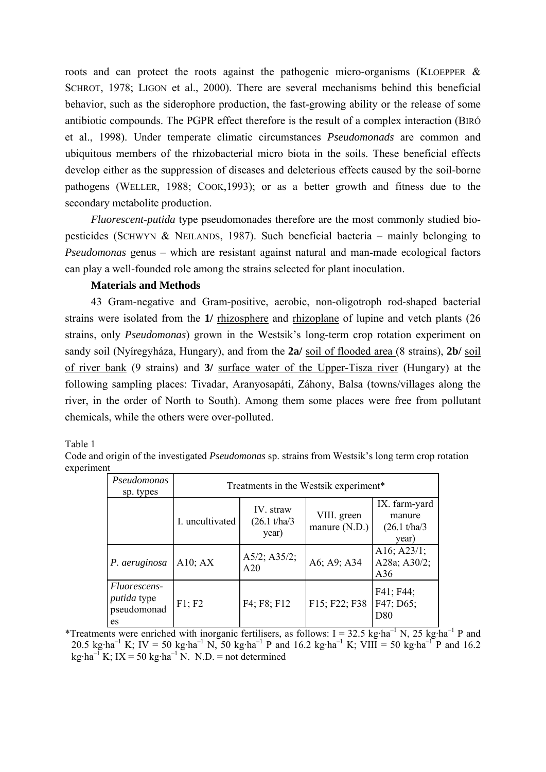roots and can protect the roots against the pathogenic micro-organisms (KLOEPPER & SCHROT, 1978; LIGON et al., 2000). There are several mechanisms behind this beneficial behavior, such as the siderophore production, the fast-growing ability or the release of some antibiotic compounds. The PGPR effect therefore is the result of a complex interaction (BIRÓ et al., 1998). Under temperate climatic circumstances *Pseudomonads* are common and ubiquitous members of the rhizobacterial micro biota in the soils. These beneficial effects develop either as the suppression of diseases and deleterious effects caused by the soil-borne pathogens (WELLER, 1988; COOK,1993); or as a better growth and fitness due to the secondary metabolite production.

*Fluorescent-putida* type pseudomonades therefore are the most commonly studied biopesticides (SCHWYN & NEILANDS, 1987). Such beneficial bacteria – mainly belonging to *Pseudomonas* genus – which are resistant against natural and man-made ecological factors can play a well-founded role among the strains selected for plant inoculation.

### **Materials and Methods**

43 Gram-negative and Gram-positive, aerobic, non-oligotroph rod-shaped bacterial strains were isolated from the **1/** rhizosphere and rhizoplane of lupine and vetch plants (26 strains, only *Pseudomonas*) grown in the Westsik's long-term crop rotation experiment on sandy soil (Nyíregyháza, Hungary), and from the **2a/** soil of flooded area (8 strains), **2b/** soil of river bank (9 strains) and **3/** surface water of the Upper-Tisza river (Hungary) at the following sampling places: Tivadar, Aranyosapáti, Záhony, Balsa (towns/villages along the river, in the order of North to South). Among them some places were free from pollutant chemicals, while the others were over-polluted.

### Table 1

| Code and origin of the investigated <i>Pseudomonas</i> sp. strains from Westsik's long term crop rotation |  |  |  |  |  |  |  |
|-----------------------------------------------------------------------------------------------------------|--|--|--|--|--|--|--|
| experiment                                                                                                |  |  |  |  |  |  |  |

| Pseudomonas<br>sp. types                                | Treatments in the Westsik experiment* |                                     |                                |                                                   |  |  |  |
|---------------------------------------------------------|---------------------------------------|-------------------------------------|--------------------------------|---------------------------------------------------|--|--|--|
|                                                         | I. uncultivated                       | IV. straw<br>(26.1 t/ha/3)<br>year) | VIII. green<br>manure $(N.D.)$ | IX. farm-yard<br>manure<br>(26.1 t/ha/3)<br>year) |  |  |  |
| P. aeruginosa                                           | A10; AX                               | $A5/2$ ; $A35/2$ ;<br>A20           | A6; A9; A34                    | A16; A23/1;<br>A28a; A30/2;<br>A36                |  |  |  |
| Fluorescens-<br><i>putida</i> type<br>pseudomonad<br>es | F1; F2                                | F4; F8; F12                         | F15; F22; F38                  | F41; F44;<br>F47; D65;<br>D <sub>80</sub>         |  |  |  |

\*Treatments were enriched with inorganic fertilisers, as follows:  $I = 32.5$  kg·ha<sup>-1</sup> N, 25 kg·ha<sup>-1</sup> P and 20.5 kg·ha<sup>-1</sup> K; IV = 50 kg·ha<sup>-1</sup> N, 50 kg·ha<sup>-1</sup> P and 16.2 kg·ha<sup>-1</sup> K; VIII = 50 kg·ha<sup>-1</sup> P and 16.2 kg·ha<sup>-1</sup> K; IX = 50 kg·ha<sup>-1</sup> N. N.D. = not determined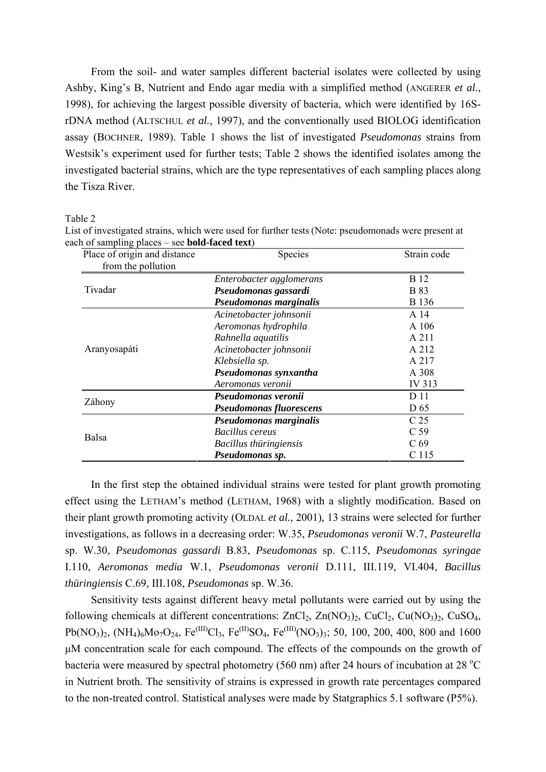From the soil- and water samples different bacterial isolates were collected by using Ashby, King's B, Nutrient and Endo agar media with a simplified method (ANGERER *et al.*, 1998), for achieving the largest possible diversity of bacteria, which were identified by 16SrDNA method (ALTSCHUL *et al.,* 1997), and the conventionally used BIOLOG identification assay (BOCHNER, 1989). Table 1 shows the list of investigated *Pseudomonas* strains from Westsik's experiment used for further tests; Table 2 shows the identified isolates among the investigated bacterial strains, which are the type representatives of each sampling places along the Tisza River.

Table 2

| Place of origin and distance<br>from the pollution | Species                        | Strain code     |
|----------------------------------------------------|--------------------------------|-----------------|
|                                                    | Enterobacter agglomerans       | <b>B</b> 12     |
| Tivadar                                            | Pseudomonas gassardi           | <b>B</b> 83     |
|                                                    | Pseudomonas marginalis         | <b>B</b> 136    |
|                                                    | Acinetobacter johnsonii        | A 14            |
|                                                    | Aeromonas hydrophila           | A 106           |
|                                                    | Rahnella aquatilis             | A 211           |
| Aranyosapáti                                       | Acinetobacter johnsonii        | A 212           |
|                                                    | Klebsiella sp.                 | A 217           |
|                                                    | Pseudomonas synxantha          | A 308           |
|                                                    | Aeromonas veronii              | IV 313          |
|                                                    | Pseudomonas veronii            | D 11            |
| Záhony                                             | <b>Pseudomonas fluorescens</b> | D <sub>65</sub> |
|                                                    | Pseudomonas marginalis         | C <sub>25</sub> |
| Balsa                                              | <b>Bacillus cereus</b>         | C <sub>59</sub> |
|                                                    | Bacillus thüringiensis         | C <sub>69</sub> |
|                                                    | Pseudomonas sp.                | C 115           |

List of investigated strains, which were used for further tests (Note: pseudomonads were present at each of sampling places – see **bold-faced text**)

In the first step the obtained individual strains were tested for plant growth promoting effect using the LETHAM's method (LETHAM, 1968) with a slightly modification. Based on their plant growth promoting activity (OLDAL *et al.,* 2001), 13 strains were selected for further investigations, as follows in a decreasing order: W.35, *Pseudomonas veronii* W.7, *Pasteurella* sp. W.30, *Pseudomonas gassardi* B.83, *Pseudomonas* sp. C.115, *Pseudomonas syringae* I.110, *Aeromonas media* W.1, *Pseudomonas veronii* D.111, III.119, VI.404, *Bacillus thüringiensis* C.69, III.108, *Pseudomonas* sp. W.36.

Sensitivity tests against different heavy metal pollutants were carried out by using the following chemicals at different concentrations:  $ZnCl_2$ ,  $Zn(NO_3)_2$ ,  $CuCl_2$ ,  $Cu(NO_3)_2$ ,  $CuSO_4$ , Pb(NO<sub>3</sub>)<sub>2</sub>, (NH<sub>4</sub>)<sub>6</sub>Mo<sub>7</sub>O<sub>24</sub>, Fe<sup>(III</sup>)Cl<sub>3</sub>, Fe<sup>(II</sup>)SO<sub>4</sub>, Fe<sup>(III</sup>)(NO<sub>3</sub>)<sub>3</sub>; 50, 100, 200, 400, 800 and 1600 μM concentration scale for each compound. The effects of the compounds on the growth of bacteria were measured by spectral photometry (560 nm) after 24 hours of incubation at 28  $^{\circ}$ C in Nutrient broth. The sensitivity of strains is expressed in growth rate percentages compared to the non-treated control. Statistical analyses were made by Statgraphics 5.1 software (P5%).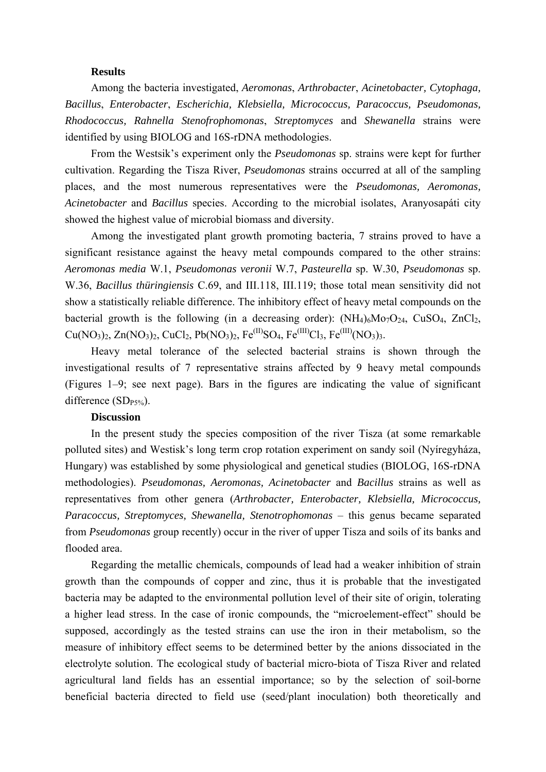### **Results**

Among the bacteria investigated, *Aeromonas*, *Arthrobacter*, *Acinetobacter, Cytophaga, Bacillus*, *Enterobacter*, *Escherichia, Klebsiella, Micrococcus, Paracoccus, Pseudomonas, Rhodococcus, Rahnella Stenofrophomonas*, *Streptomyces* and *Shewanella* strains were identified by using BIOLOG and 16S-rDNA methodologies.

From the Westsik's experiment only the *Pseudomonas* sp. strains were kept for further cultivation. Regarding the Tisza River, *Pseudomonas* strains occurred at all of the sampling places, and the most numerous representatives were the *Pseudomonas, Aeromonas, Acinetobacter* and *Bacillus* species. According to the microbial isolates, Aranyosapáti city showed the highest value of microbial biomass and diversity.

Among the investigated plant growth promoting bacteria, 7 strains proved to have a significant resistance against the heavy metal compounds compared to the other strains: *Aeromonas media* W.1, *Pseudomonas veronii* W.7, *Pasteurella* sp. W.30, *Pseudomonas* sp. W.36, *Bacillus thüringiensis* C.69, and III.118, III.119; those total mean sensitivity did not show a statistically reliable difference. The inhibitory effect of heavy metal compounds on the bacterial growth is the following (in a decreasing order):  $(NH_4)_6M_07O_{24}$ , CuSO<sub>4</sub>, ZnCl<sub>2</sub>,  $Cu(NO<sub>3</sub>)<sub>2</sub>$ , Zn(NO<sub>3</sub>)<sub>2</sub>, CuCl<sub>2</sub>, Pb(NO<sub>3</sub>)<sub>2</sub>, Fe<sup>(III</sup>)SO<sub>4</sub>, Fe<sup>(III</sup>)Cl<sub>3</sub>, Fe<sup>(III</sup>)(NO<sub>3</sub>)<sub>3</sub>.

Heavy metal tolerance of the selected bacterial strains is shown through the investigational results of 7 representative strains affected by 9 heavy metal compounds (Figures 1–9; see next page). Bars in the figures are indicating the value of significant difference  $(SD_{P5\%})$ .

## **Discussion**

In the present study the species composition of the river Tisza (at some remarkable polluted sites) and Westisk's long term crop rotation experiment on sandy soil (Nyíregyháza, Hungary) was established by some physiological and genetical studies (BIOLOG, 16S-rDNA methodologies). *Pseudomonas, Aeromonas, Acinetobacter* and *Bacillus* strains as well as representatives from other genera (*Arthrobacter, Enterobacter, Klebsiella, Micrococcus, Paracoccus, Streptomyces, Shewanella, Stenotrophomonas* – this genus became separated from *Pseudomonas* group recently) occur in the river of upper Tisza and soils of its banks and flooded area.

Regarding the metallic chemicals, compounds of lead had a weaker inhibition of strain growth than the compounds of copper and zinc, thus it is probable that the investigated bacteria may be adapted to the environmental pollution level of their site of origin, tolerating a higher lead stress. In the case of ironic compounds, the "microelement-effect" should be supposed, accordingly as the tested strains can use the iron in their metabolism, so the measure of inhibitory effect seems to be determined better by the anions dissociated in the electrolyte solution. The ecological study of bacterial micro-biota of Tisza River and related agricultural land fields has an essential importance; so by the selection of soil-borne beneficial bacteria directed to field use (seed/plant inoculation) both theoretically and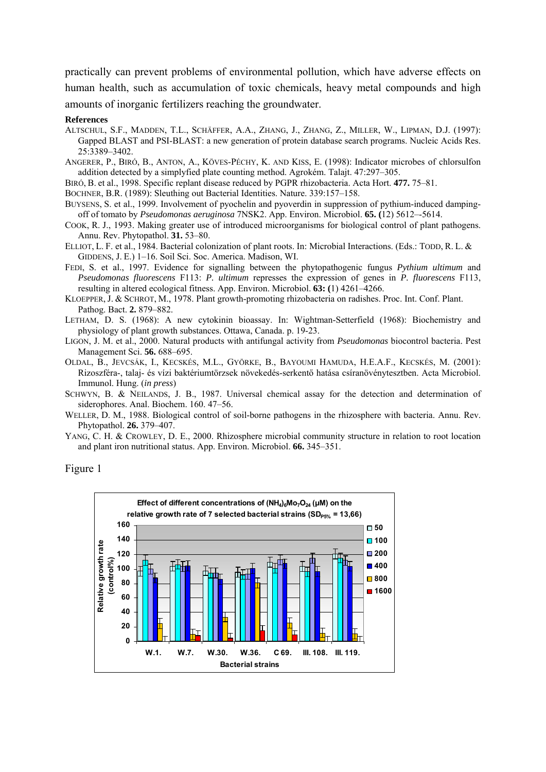practically can prevent problems of environmental pollution, which have adverse effects on human health, such as accumulation of toxic chemicals, heavy metal compounds and high amounts of inorganic fertilizers reaching the groundwater.

#### **References**

- ALTSCHUL, S.F., MADDEN, T.L., SCHÄFFER, A.A., ZHANG, J., ZHANG, Z., MILLER, W., LIPMAN, D.J. (1997): Gapped BLAST and PSI-BLAST: a new generation of protein database search programs. Nucleic Acids Res. 25:3389–3402.
- ANGERER, P., BIRÓ, B., ANTON, A., KÖVES-PÉCHY, K. AND KISS, E. (1998): Indicator microbes of chlorsulfon addition detected by a simplyfied plate counting method. Agrokém. Talajt. 47:297–305.
- BIRÓ, B. et al., 1998. Specific replant disease reduced by PGPR rhizobacteria. Acta Hort. **477.** 75–81.
- BOCHNER, B.R. (1989): Sleuthing out Bacterial Identities. Nature. 339:157–158.
- BUYSENS, S. et al., 1999. Involvement of pyochelin and pyoverdin in suppression of pythium-induced dampingoff of tomato by *Pseudomonas aeruginosa* 7NSK2. App. Environ. Microbiol. **65. (**12) 5612–-5614.
- COOK, R. J., 1993. Making greater use of introduced microorganisms for biological control of plant pathogens. Annu. Rev. Phytopathol. **31.** 53–80.
- ELLIOT, L. F. et al., 1984. Bacterial colonization of plant roots. In: Microbial Interactions. (Eds.: TODD, R. L. & GIDDENS, J. E.) 1–16. Soil Sci. Soc. America. Madison, WI.
- FEDI, S. et al., 1997. Evidence for signalling between the phytopathogenic fungus *Pythium ultimum* and *Pseudomonas fluorescens* F113: *P. ultimum* represses the expression of genes in *P. fluorescens* F113, resulting in altered ecological fitness. App. Environ. Microbiol. **63: (**1) 4261–4266.
- KLOEPPER, J. & SCHROT, M., 1978. Plant growth-promoting rhizobacteria on radishes. Proc. Int. Conf. Plant. Pathog. Bact. **2.** 879–882.
- LETHAM, D. S. (1968): A new cytokinin bioassay. In: Wightman-Setterfield (1968): Biochemistry and physiology of plant growth substances. Ottawa, Canada. p. 19-23.
- LIGON, J. M. et al., 2000. Natural products with antifungal activity from *Pseudomonas* biocontrol bacteria. Pest Management Sci. **56.** 688–695.
- OLDAL, B., JEVCSÁK, I., KECSKÉS, M.L., GYÖRKE, B., BAYOUMI HAMUDA, H.E.A.F., KECSKÉS, M. (2001): Rizoszféra-, talaj- és vízi baktériumtörzsek növekedés-serkentő hatása csíranövénytesztben. Acta Microbiol. Immunol. Hung. (*in press*)
- SCHWYN, B. & NEILANDS, J. B., 1987. Universal chemical assay for the detection and determination of siderophores. Anal. Biochem. 160. 47–56.
- WELLER, D. M., 1988. Biological control of soil-borne pathogens in the rhizosphere with bacteria. Annu. Rev. Phytopathol. **26.** 379–407.
- YANG, C. H. & CROWLEY, D. E., 2000. Rhizosphere microbial community structure in relation to root location and plant iron nutritional status. App. Environ. Microbiol. **66.** 345–351.

Figure 1

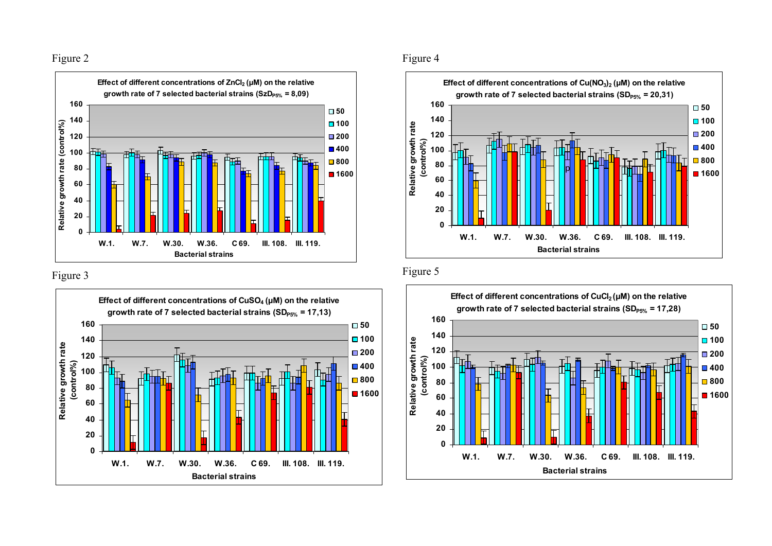Figure 2







Figure 4